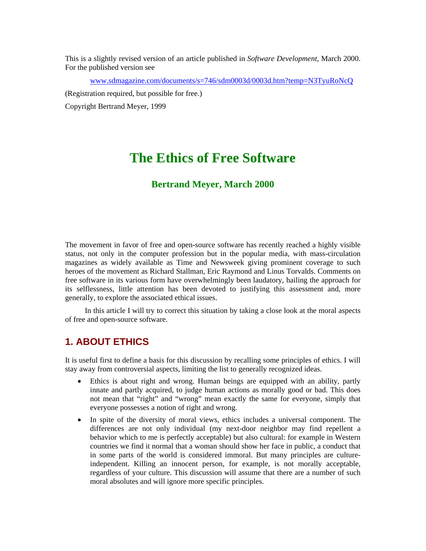This is a slightly revised version of an article published in *Software Development*, March 2000. For the published version see

www.sdmagazine.com/documents/s=746/sdm0003d/0003d.htm?temp=N3TyuRoNcQ

(Registration required, but possible for free.)

Copyright Bertrand Meyer, 1999

# **The Ethics of Free Software**

#### **Bertrand Meyer, March 2000**

The movement in favor of free and open-source software has recently reached a highly visible status, not only in the computer profession but in the popular media, with mass-circulation magazines as widely available as Time and Newsweek giving prominent coverage to such heroes of the movement as Richard Stallman, Eric Raymond and Linus Torvalds. Comments on free software in its various form have overwhelmingly been laudatory, hailing the approach for its selflessness, little attention has been devoted to justifying this assessment and, more generally, to explore the associated ethical issues.

In this article I will try to correct this situation by taking a close look at the moral aspects of free and open-source software.

### **1. ABOUT ETHICS**

It is useful first to define a basis for this discussion by recalling some principles of ethics. I will stay away from controversial aspects, limiting the list to generally recognized ideas.

- Ethics is about right and wrong. Human beings are equipped with an ability, partly innate and partly acquired, to judge human actions as morally good or bad. This does not mean that "right" and "wrong" mean exactly the same for everyone, simply that everyone possesses a notion of right and wrong.
- In spite of the diversity of moral views, ethics includes a universal component. The differences are not only individual (my next-door neighbor may find repellent a behavior which to me is perfectly acceptable) but also cultural: for example in Western countries we find it normal that a woman should show her face in public, a conduct that in some parts of the world is considered immoral. But many principles are cultureindependent. Killing an innocent person, for example, is not morally acceptable, regardless of your culture. This discussion will assume that there are a number of such moral absolutes and will ignore more specific principles.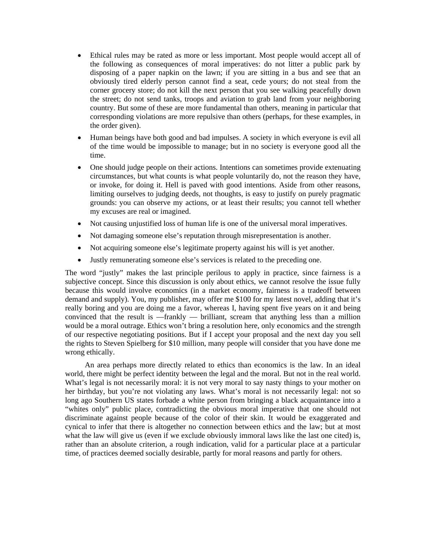- Ethical rules may be rated as more or less important. Most people would accept all of the following as consequences of moral imperatives: do not litter a public park by disposing of a paper napkin on the lawn; if you are sitting in a bus and see that an obviously tired elderly person cannot find a seat, cede yours; do not steal from the corner grocery store; do not kill the next person that you see walking peacefully down the street; do not send tanks, troops and aviation to grab land from your neighboring country. But some of these are more fundamental than others, meaning in particular that corresponding violations are more repulsive than others (perhaps, for these examples, in the order given).
- Human beings have both good and bad impulses. A society in which everyone is evil all of the time would be impossible to manage; but in no society is everyone good all the time.
- One should judge people on their actions. Intentions can sometimes provide extenuating circumstances, but what counts is what people voluntarily do, not the reason they have, or invoke, for doing it. Hell is paved with good intentions. Aside from other reasons, limiting ourselves to judging deeds, not thoughts, is easy to justify on purely pragmatic grounds: you can observe my actions, or at least their results; you cannot tell whether my excuses are real or imagined.
- Not causing unjustified loss of human life is one of the universal moral imperatives.
- Not damaging someone else's reputation through misrepresentation is another.
- Not acquiring someone else's legitimate property against his will is yet another.
- Justly remunerating someone else's services is related to the preceding one.

The word "justly" makes the last principle perilous to apply in practice, since fairness is a subjective concept. Since this discussion is only about ethics, we cannot resolve the issue fully because this would involve economics (in a market economy, fairness is a tradeoff between demand and supply). You, my publisher, may offer me \$100 for my latest novel, adding that it's really boring and you are doing me a favor, whereas I, having spent five years on it and being convinced that the result is —frankly — brilliant, scream that anything less than a million would be a moral outrage. Ethics won't bring a resolution here, only economics and the strength of our respective negotiating positions. But if I accept your proposal and the next day you sell the rights to Steven Spielberg for \$10 million, many people will consider that you have done me wrong ethically.

An area perhaps more directly related to ethics than economics is the law. In an ideal world, there might be perfect identity between the legal and the moral. But not in the real world. What's legal is not necessarily moral: it is not very moral to say nasty things to your mother on her birthday, but you're not violating any laws. What's moral is not necessarily legal: not so long ago Southern US states forbade a white person from bringing a black acquaintance into a "whites only" public place, contradicting the obvious moral imperative that one should not discriminate against people because of the color of their skin. It would be exaggerated and cynical to infer that there is altogether no connection between ethics and the law; but at most what the law will give us (even if we exclude obviously immoral laws like the last one cited) is, rather than an absolute criterion, a rough indication, valid for a particular place at a particular time, of practices deemed socially desirable, partly for moral reasons and partly for others.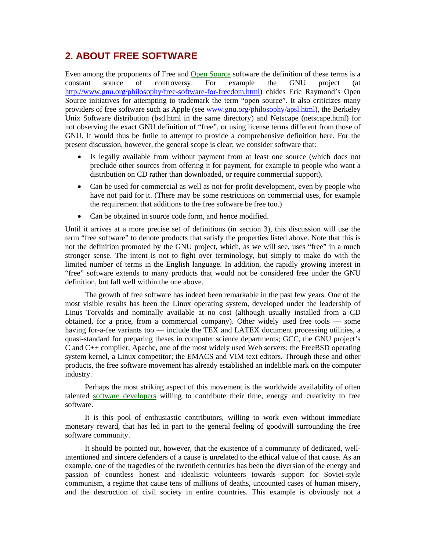### **2. ABOUT FREE SOFTWARE**

Even among the proponents of Free and Open Source software the definition of these terms is a constant source of controversy. For example the GNU project (at http://www.gnu.org/philosophy/free-software-for-freedom.html) chides Eric Raymond's Open Source initiatives for attempting to trademark the term "open source". It also criticizes many providers of free software such as Apple (see www.gnu.org/philosophy/apsl.html), the Berkeley Unix Software distribution (bsd.html in the same directory) and Netscape (netscape.html) for not observing the exact GNU definition of "free", or using license terms different from those of GNU. It would thus be futile to attempt to provide a comprehensive definition here. For the present discussion, however, the general scope is clear; we consider software that:

- Is legally available from without payment from at least one source (which does not preclude other sources from offering it for payment, for example to people who want a distribution on CD rather than downloaded, or require commercial support).
- Can be used for commercial as well as not-for-profit development, even by people who have not paid for it. (There may be some restrictions on commercial uses, for example the requirement that additions to the free software be free too.)
- Can be obtained in source code form, and hence modified.

Until it arrives at a more precise set of definitions (in section 3), this discussion will use the term "free software" to denote products that satisfy the properties listed above. Note that this is not the definition promoted by the GNU project, which, as we will see, uses "free" in a much stronger sense. The intent is not to fight over terminology, but simply to make do with the limited number of terms in the English language. In addition, the rapidly growing interest in "free" software extends to many products that would not be considered free under the GNU definition, but fall well within the one above.

The growth of free software has indeed been remarkable in the past few years. One of the most visible results has been the Linux operating system, developed under the leadership of Linus Torvalds and nominally available at no cost (although usually installed from a CD obtained, for a price, from a commercial company). Other widely used free tools — some having for-a-fee variants too — include the TEX and LATEX document processing utilities, a quasi-standard for preparing theses in computer science departments; GCC, the GNU project's C and C++ compiler; Apache, one of the most widely used Web servers; the FreeBSD operating system kernel, a Linux competitor; the EMACS and VIM text editors. Through these and other products, the free software movement has already established an indelible mark on the computer industry.

Perhaps the most striking aspect of this movement is the worldwide availability of often talented software developers willing to contribute their time, energy and creativity to free software.

It is this pool of enthusiastic contributors, willing to work even without immediate monetary reward, that has led in part to the general feeling of goodwill surrounding the free software community.

It should be pointed out, however, that the existence of a community of dedicated, wellintentioned and sincere defenders of a cause is unrelated to the ethical value of that cause. As an example, one of the tragedies of the twentieth centuries has been the diversion of the energy and passion of countless honest and idealistic volunteers towards support for Soviet-style communism, a regime that cause tens of millions of deaths, uncounted cases of human misery, and the destruction of civil society in entire countries. This example is obviously not a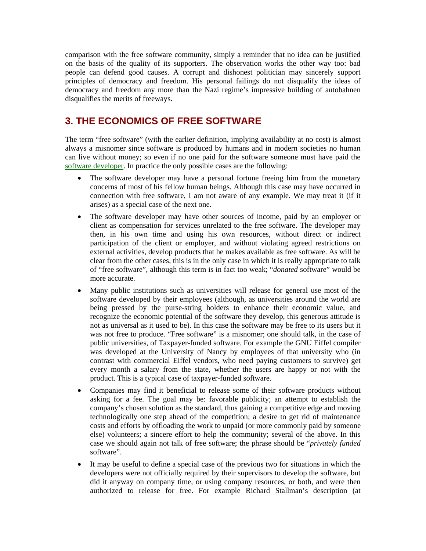comparison with the free software community, simply a reminder that no idea can be justified on the basis of the quality of its supporters. The observation works the other way too: bad people can defend good causes. A corrupt and dishonest politician may sincerely support principles of democracy and freedom. His personal failings do not disqualify the ideas of democracy and freedom any more than the Nazi regime's impressive building of autobahnen disqualifies the merits of freeways.

## **3. THE ECONOMICS OF FREE SOFTWARE**

The term "free software" (with the earlier definition, implying availability at no cost) is almost always a misnomer since software is produced by humans and in modern societies no human can live without money; so even if no one paid for the software someone must have paid the software developer. In practice the only possible cases are the following:

- The software developer may have a personal fortune freeing him from the monetary concerns of most of his fellow human beings. Although this case may have occurred in connection with free software, I am not aware of any example. We may treat it (if it arises) as a special case of the next one.
- The software developer may have other sources of income, paid by an employer or client as compensation for services unrelated to the free software. The developer may then, in his own time and using his own resources, without direct or indirect participation of the client or employer, and without violating agreed restrictions on external activities, develop products that he makes available as free software. As will be clear from the other cases, this is in the only case in which it is really appropriate to talk of "free software", although this term is in fact too weak; "*donated* software" would be more accurate.
- Many public institutions such as universities will release for general use most of the software developed by their employees (although, as universities around the world are being pressed by the purse-string holders to enhance their economic value, and recognize the economic potential of the software they develop, this generous attitude is not as universal as it used to be). In this case the software may be free to its users but it was not free to produce. "Free software" is a misnomer; one should talk, in the case of public universities, of Taxpayer-funded software. For example the GNU Eiffel compiler was developed at the University of Nancy by employees of that university who (in contrast with commercial Eiffel vendors, who need paying customers to survive) get every month a salary from the state, whether the users are happy or not with the product. This is a typical case of taxpayer-funded software.
- Companies may find it beneficial to release some of their software products without asking for a fee. The goal may be: favorable publicity; an attempt to establish the company's chosen solution as the standard, thus gaining a competitive edge and moving technologically one step ahead of the competition; a desire to get rid of maintenance costs and efforts by offloading the work to unpaid (or more commonly paid by someone else) volunteers; a sincere effort to help the community; several of the above. In this case we should again not talk of free software; the phrase should be "*privately funded* software".
- It may be useful to define a special case of the previous two for situations in which the developers were not officially required by their supervisors to develop the software, but did it anyway on company time, or using company resources, or both, and were then authorized to release for free. For example Richard Stallman's description (at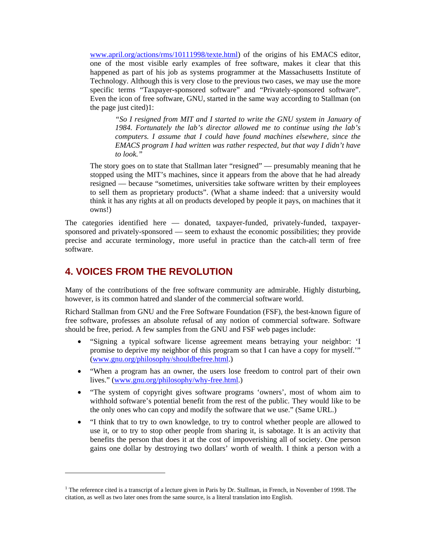www.april.org/actions/rms/10111998/texte.html) of the origins of his EMACS editor, one of the most visible early examples of free software, makes it clear that this happened as part of his job as systems programmer at the Massachusetts Institute of Technology. Although this is very close to the previous two cases, we may use the more specific terms "Taxpayer-sponsored software" and "Privately-sponsored software". Even the icon of free software, GNU, started in the same way according to Stallman (on the page just cited)1:

*"So I resigned from MIT and I started to write the GNU system in January of 1984. Fortunately the lab's director allowed me to continue using the lab's computers. I assume that I could have found machines elsewhere, since the EMACS program I had written was rather respected, but that way I didn't have to look."* 

The story goes on to state that Stallman later "resigned" — presumably meaning that he stopped using the MIT's machines, since it appears from the above that he had already resigned — because "sometimes, universities take software written by their employees to sell them as proprietary products". (What a shame indeed: that a university would think it has any rights at all on products developed by people it pays, on machines that it owns!)

The categories identified here — donated, taxpayer-funded, privately-funded, taxpayersponsored and privately-sponsored — seem to exhaust the economic possibilities; they provide precise and accurate terminology, more useful in practice than the catch-all term of free software.

### **4. VOICES FROM THE REVOLUTION**

 $\overline{a}$ 

Many of the contributions of the free software community are admirable. Highly disturbing, however, is its common hatred and slander of the commercial software world.

Richard Stallman from GNU and the Free Software Foundation (FSF), the best-known figure of free software, professes an absolute refusal of any notion of commercial software. Software should be free, period. A few samples from the GNU and FSF web pages include:

- "Signing a typical software license agreement means betraying your neighbor: 'I promise to deprive my neighbor of this program so that I can have a copy for myself.'" (www.gnu.org/philosophy/shouldbefree.html.)
- "When a program has an owner, the users lose freedom to control part of their own lives." (www.gnu.org/philosophy/why-free.html.)
- "The system of copyright gives software programs 'owners', most of whom aim to withhold software's potential benefit from the rest of the public. They would like to be the only ones who can copy and modify the software that we use." (Same URL.)
- "I think that to try to own knowledge, to try to control whether people are allowed to use it, or to try to stop other people from sharing it, is sabotage. It is an activity that benefits the person that does it at the cost of impoverishing all of society. One person gains one dollar by destroying two dollars' worth of wealth. I think a person with a

<sup>&</sup>lt;sup>1</sup> The reference cited is a transcript of a lecture given in Paris by Dr. Stallman, in French, in November of 1998. The citation, as well as two later ones from the same source, is a literal translation into English.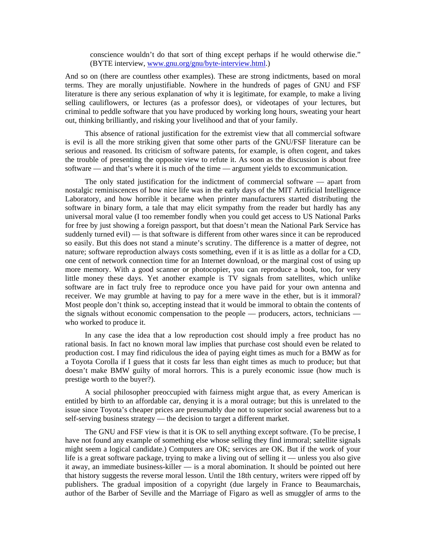conscience wouldn't do that sort of thing except perhaps if he would otherwise die." (BYTE interview, www.gnu.org/gnu/byte-interview.html.)

And so on (there are countless other examples). These are strong indictments, based on moral terms. They are morally unjustifiable. Nowhere in the hundreds of pages of GNU and FSF literature is there any serious explanation of why it is legitimate, for example, to make a living selling cauliflowers, or lectures (as a professor does), or videotapes of your lectures, but criminal to peddle software that you have produced by working long hours, sweating your heart out, thinking brilliantly, and risking your livelihood and that of your family.

This absence of rational justification for the extremist view that all commercial software is evil is all the more striking given that some other parts of the GNU/FSF literature can be serious and reasoned. Its criticism of software patents, for example, is often cogent, and takes the trouble of presenting the opposite view to refute it. As soon as the discussion is about free software — and that's where it is much of the time — argument yields to excommunication.

The only stated justification for the indictment of commercial software — apart from nostalgic reminiscences of how nice life was in the early days of the MIT Artificial Intelligence Laboratory, and how horrible it became when printer manufacturers started distributing the software in binary form, a tale that may elicit sympathy from the reader but hardly has any universal moral value (I too remember fondly when you could get access to US National Parks for free by just showing a foreign passport, but that doesn't mean the National Park Service has suddenly turned evil) — is that software is different from other wares since it can be reproduced so easily. But this does not stand a minute's scrutiny. The difference is a matter of degree, not nature; software reproduction always costs something, even if it is as little as a dollar for a CD, one cent of network connection time for an Internet download, or the marginal cost of using up more memory. With a good scanner or photocopier, you can reproduce a book, too, for very little money these days. Yet another example is TV signals from satellites, which unlike software are in fact truly free to reproduce once you have paid for your own antenna and receiver. We may grumble at having to pay for a mere wave in the ether, but is it immoral? Most people don't think so, accepting instead that it would be immoral to obtain the contents of the signals without economic compensation to the people — producers, actors, technicians who worked to produce it.

In any case the idea that a low reproduction cost should imply a free product has no rational basis. In fact no known moral law implies that purchase cost should even be related to production cost. I may find ridiculous the idea of paying eight times as much for a BMW as for a Toyota Corolla if I guess that it costs far less than eight times as much to produce; but that doesn't make BMW guilty of moral horrors. This is a purely economic issue (how much is prestige worth to the buyer?).

A social philosopher preoccupied with fairness might argue that, as every American is entitled by birth to an affordable car, denying it is a moral outrage; but this is unrelated to the issue since Toyota's cheaper prices are presumably due not to superior social awareness but to a self-serving business strategy — the decision to target a different market.

The GNU and FSF view is that it is OK to sell anything except software. (To be precise, I have not found any example of something else whose selling they find immoral; satellite signals might seem a logical candidate.) Computers are OK; services are OK. But if the work of your life is a great software package, trying to make a living out of selling it — unless you also give it away, an immediate business-killer — is a moral abomination. It should be pointed out here that history suggests the reverse moral lesson. Until the 18th century, writers were ripped off by publishers. The gradual imposition of a copyright (due largely in France to Beaumarchais, author of the Barber of Seville and the Marriage of Figaro as well as smuggler of arms to the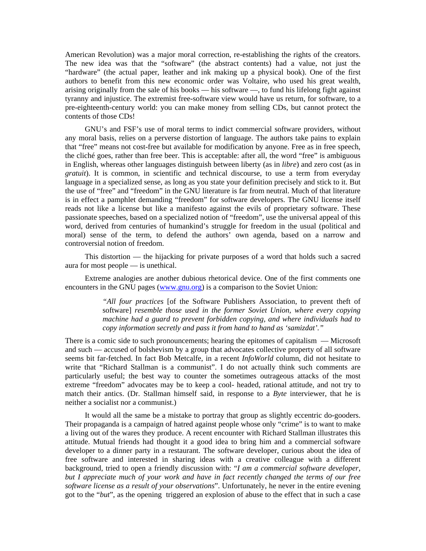American Revolution) was a major moral correction, re-establishing the rights of the creators. The new idea was that the "software" (the abstract contents) had a value, not just the "hardware" (the actual paper, leather and ink making up a physical book). One of the first authors to benefit from this new economic order was Voltaire, who used his great wealth, arising originally from the sale of his books — his software —, to fund his lifelong fight against tyranny and injustice. The extremist free-software view would have us return, for software, to a pre-eighteenth-century world: you can make money from selling CDs, but cannot protect the contents of those CDs!

GNU's and FSF's use of moral terms to indict commercial software providers, without any moral basis, relies on a perverse distortion of language. The authors take pains to explain that "free" means not cost-free but available for modification by anyone. Free as in free speech, the cliché goes, rather than free beer. This is acceptable: after all, the word "free" is ambiguous in English, whereas other languages distinguish between liberty (as in *libre*) and zero cost (as in *gratuit*). It is common, in scientific and technical discourse, to use a term from everyday language in a specialized sense, as long as you state your definition precisely and stick to it. But the use of "free" and "freedom" in the GNU literature is far from neutral. Much of that literature is in effect a pamphlet demanding "freedom" for software developers. The GNU license itself reads not like a license but like a manifesto against the evils of proprietary software. These passionate speeches, based on a specialized notion of "freedom", use the universal appeal of this word, derived from centuries of humankind's struggle for freedom in the usual (political and moral) sense of the term, to defend the authors' own agenda, based on a narrow and controversial notion of freedom.

This distortion — the hijacking for private purposes of a word that holds such a sacred aura for most people — is unethical.

Extreme analogies are another dubious rhetorical device. One of the first comments one encounters in the GNU pages (www.gnu.org) is a comparison to the Soviet Union:

> *"All four practices* [of the Software Publishers Association, to prevent theft of software] *resemble those used in the former Soviet Union, where every copying machine had a guard to prevent forbidden copying, and where individuals had to copy information secretly and pass it from hand to hand as 'samizdat'."*

There is a comic side to such pronouncements; hearing the epitomes of capitalism — Microsoft and such — accused of bolshevism by a group that advocates collective property of all software seems bit far-fetched. In fact Bob Metcalfe, in a recent *InfoWorld* column, did not hesitate to write that "Richard Stallman is a communist". I do not actually think such comments are particularly useful; the best way to counter the sometimes outrageous attacks of the most extreme "freedom" advocates may be to keep a cool- headed, rational attitude, and not try to match their antics. (Dr. Stallman himself said, in response to a *Byte* interviewer, that he is neither a socialist nor a communist.)

It would all the same be a mistake to portray that group as slightly eccentric do-gooders. Their propaganda is a campaign of hatred against people whose only "crime" is to want to make a living out of the wares they produce. A recent encounter with Richard Stallman illustrates this attitude. Mutual friends had thought it a good idea to bring him and a commercial software developer to a dinner party in a restaurant. The software developer, curious about the idea of free software and interested in sharing ideas with a creative colleague with a different background, tried to open a friendly discussion with: "*I am a commercial software developer, but I appreciate much of your work and have in fact recently changed the terms of our free software license as a result of your observations*". Unfortunately, he never in the entire evening got to the "*but*", as the opening triggered an explosion of abuse to the effect that in such a case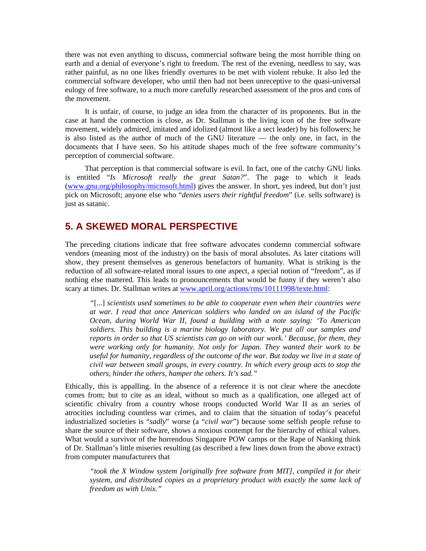there was not even anything to discuss, commercial software being the most horrible thing on earth and a denial of everyone's right to freedom. The rest of the evening, needless to say, was rather painful, as no one likes friendly overtures to be met with violent rebuke. It also led the commercial software developer, who until then had not been unreceptive to the quasi-universal eulogy of free software, to a much more carefully researched assessment of the pros and cons of the movement.

It is unfair, of course, to judge an idea from the character of its proponents. But in the case at hand the connection is close, as Dr. Stallman is the living icon of the free software movement, widely admired, imitated and idolized (almost like a sect leader) by his followers; he is also listed as the author of much of the GNU literature — the only one, in fact, in the documents that I have seen. So his attitude shapes much of the free software community's perception of commercial software.

That perception is that commercial software is evil. In fact, one of the catchy GNU links is entitled "*Is Microsoft really the great Satan?*". The page to which it leads (www.gnu.org/philosophy/microsoft.html) gives the answer. In short, yes indeed, but don't just pick on Microsoft; anyone else who "*denies users their rightful freedom*" (i.e. sells software) is just as satanic.

### **5. A SKEWED MORAL PERSPECTIVE**

The preceding citations indicate that free software advocates condemn commercial software vendors (meaning most of the industry) on the basis of moral absolutes. As later citations will show, they present themselves as generous benefactors of humanity. What is striking is the reduction of all software-related moral issues to one aspect, a special notion of "freedom", as if nothing else mattered. This leads to pronouncements that would be funny if they weren't also scary at times. Dr. Stallman writes at www.april.org/actions/rms/10111998/texte.html:

*"*[...] *scientists used sometimes to be able to cooperate even when their countries were at war. I read that once American soldiers who landed on an island of the Pacific Ocean, during World War II, found a building with a note saying: 'To American soldiers. This building is a marine biology laboratory. We put all our samples and reports in order so that US scientists can go on with our work.' Because, for them, they were working only for humanity. Not only for Japan. They wanted their work to be useful for humanity, regardless of the outcome of the war. But today we live in a state of civil war between small groups, in every country. In which every group acts to stop the others, hinder the others, hamper the others. It's sad."* 

Ethically, this is appalling. In the absence of a reference it is not clear where the anecdote comes from; but to cite as an ideal, without so much as a qualification, one alleged act of scientific chivalry from a country whose troops conducted World War II as an series of atrocities including countless war crimes, and to claim that the situation of today's peaceful industrialized societies is "*sadly*" worse (a "*civil war*") because some selfish people refuse to share the source of their software, shows a noxious contempt for the hierarchy of ethical values. What would a survivor of the horrendous Singapore POW camps or the Rape of Nanking think of Dr. Stallman's little miseries resulting (as described a few lines down from the above extract) from computer manufacturers that

*"took the X Window system [originally free software from MIT], compiled it for their system, and distributed copies as a proprietary product with exactly the same lack of freedom as with Unix."*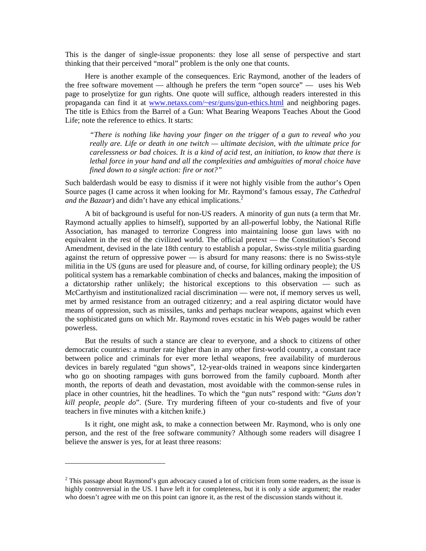This is the danger of single-issue proponents: they lose all sense of perspective and start thinking that their perceived "moral" problem is the only one that counts.

Here is another example of the consequences. Eric Raymond, another of the leaders of the free software movement — although he prefers the term "open source" — uses his Web page to proselytize for gun rights. One quote will suffice, although readers interested in this propaganda can find it at www.netaxs.com/~esr/guns/gun-ethics.html and neighboring pages. The title is Ethics from the Barrel of a Gun: What Bearing Weapons Teaches About the Good Life; note the reference to ethics. It starts:

*"There is nothing like having your finger on the trigger of a gun to reveal who you really are. Life or death in one twitch — ultimate decision, with the ultimate price for carelessness or bad choices. It is a kind of acid test, an initiation, to know that there is lethal force in your hand and all the complexities and ambiguities of moral choice have fined down to a single action: fire or not?"* 

Such balderdash would be easy to dismiss if it were not highly visible from the author's Open Source pages (I came across it when looking for Mr. Raymond's famous essay, *The Cathedral and the Bazaar*) and didn't have any ethical implications.<sup>2</sup>

A bit of background is useful for non-US readers. A minority of gun nuts (a term that Mr. Raymond actually applies to himself), supported by an all-powerful lobby, the National Rifle Association, has managed to terrorize Congress into maintaining loose gun laws with no equivalent in the rest of the civilized world. The official pretext — the Constitution's Second Amendment, devised in the late 18th century to establish a popular, Swiss-style militia guarding against the return of oppressive power — is absurd for many reasons: there is no Swiss-style militia in the US (guns are used for pleasure and, of course, for killing ordinary people); the US political system has a remarkable combination of checks and balances, making the imposition of a dictatorship rather unlikely; the historical exceptions to this observation — such as McCarthyism and institutionalized racial discrimination — were not, if memory serves us well, met by armed resistance from an outraged citizenry; and a real aspiring dictator would have means of oppression, such as missiles, tanks and perhaps nuclear weapons, against which even the sophisticated guns on which Mr. Raymond roves ecstatic in his Web pages would be rather powerless.

But the results of such a stance are clear to everyone, and a shock to citizens of other democratic countries: a murder rate higher than in any other first-world country, a constant race between police and criminals for ever more lethal weapons, free availability of murderous devices in barely regulated "gun shows", 12-year-olds trained in weapons since kindergarten who go on shooting rampages with guns borrowed from the family cupboard. Month after month, the reports of death and devastation, most avoidable with the common-sense rules in place in other countries, hit the headlines. To which the "gun nuts" respond with: "*Guns don't kill people, people do*". (Sure. Try murdering fifteen of your co-students and five of your teachers in five minutes with a kitchen knife.)

Is it right, one might ask, to make a connection between Mr. Raymond, who is only one person, and the rest of the free software community? Although some readers will disagree I believe the answer is yes, for at least three reasons:

 $\overline{a}$ 

 $2$  This passage about Raymond's gun advocacy caused a lot of criticism from some readers, as the issue is highly controversial in the US. I have left it for completeness, but it is only a side argument; the reader who doesn't agree with me on this point can ignore it, as the rest of the discussion stands without it.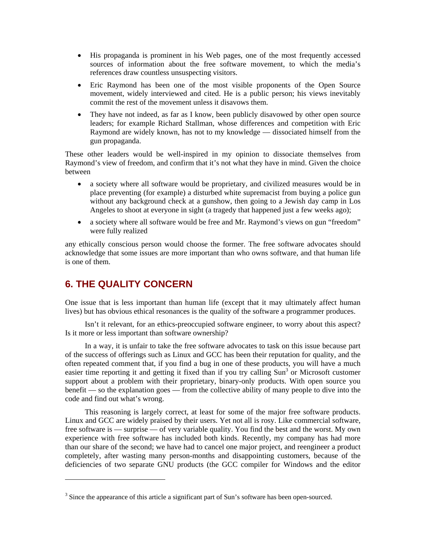- His propaganda is prominent in his Web pages, one of the most frequently accessed sources of information about the free software movement, to which the media's references draw countless unsuspecting visitors.
- Eric Raymond has been one of the most visible proponents of the Open Source movement, widely interviewed and cited. He is a public person; his views inevitably commit the rest of the movement unless it disavows them.
- They have not indeed, as far as I know, been publicly disavowed by other open source leaders; for example Richard Stallman, whose differences and competition with Eric Raymond are widely known, has not to my knowledge — dissociated himself from the gun propaganda.

These other leaders would be well-inspired in my opinion to dissociate themselves from Raymond's view of freedom, and confirm that it's not what they have in mind. Given the choice between

- a society where all software would be proprietary, and civilized measures would be in place preventing (for example) a disturbed white supremacist from buying a police gun without any background check at a gunshow, then going to a Jewish day camp in Los Angeles to shoot at everyone in sight (a tragedy that happened just a few weeks ago);
- a society where all software would be free and Mr. Raymond's views on gun "freedom" were fully realized

any ethically conscious person would choose the former. The free software advocates should acknowledge that some issues are more important than who owns software, and that human life is one of them.

## **6. THE QUALITY CONCERN**

 $\overline{a}$ 

One issue that is less important than human life (except that it may ultimately affect human lives) but has obvious ethical resonances is the quality of the software a programmer produces.

Isn't it relevant, for an ethics-preoccupied software engineer, to worry about this aspect? Is it more or less important than software ownership?

In a way, it is unfair to take the free software advocates to task on this issue because part of the success of offerings such as Linux and GCC has been their reputation for quality, and the often repeated comment that, if you find a bug in one of these products, you will have a much easier time reporting it and getting it fixed than if you try calling Sun<sup>3</sup> or Microsoft customer support about a problem with their proprietary, binary-only products. With open source you benefit — so the explanation goes — from the collective ability of many people to dive into the code and find out what's wrong.

This reasoning is largely correct, at least for some of the major free software products. Linux and GCC are widely praised by their users. Yet not all is rosy. Like commercial software, free software is — surprise — of very variable quality. You find the best and the worst. My own experience with free software has included both kinds. Recently, my company has had more than our share of the second; we have had to cancel one major project, and reengineer a product completely, after wasting many person-months and disappointing customers, because of the deficiencies of two separate GNU products (the GCC compiler for Windows and the editor

 $3$  Since the appearance of this article a significant part of Sun's software has been open-sourced.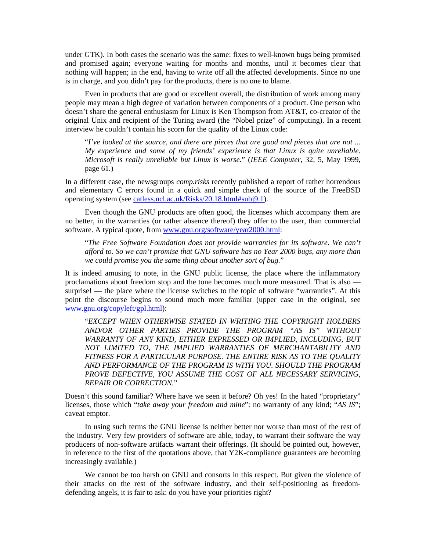under GTK). In both cases the scenario was the same: fixes to well-known bugs being promised and promised again; everyone waiting for months and months, until it becomes clear that nothing will happen; in the end, having to write off all the affected developments. Since no one is in charge, and you didn't pay for the products, there is no one to blame.

Even in products that are good or excellent overall, the distribution of work among many people may mean a high degree of variation between components of a product. One person who doesn't share the general enthusiasm for Linux is Ken Thompson from AT&T, co-creator of the original Unix and recipient of the Turing award (the "Nobel prize" of computing). In a recent interview he couldn't contain his scorn for the quality of the Linux code:

"*I've looked at the source, and there are pieces that are good and pieces that are not ... My experience and some of my friends' experience is that Linux is quite unreliable. Microsoft is really unreliable but Linux is worse.*" (*IEEE Computer*, 32, 5, May 1999, page 61.)

In a different case, the newsgroups *comp.risks* recently published a report of rather horrendous and elementary C errors found in a quick and simple check of the source of the FreeBSD operating system (see catless.ncl.ac.uk/Risks/20.18.html#subj9.1).

Even though the GNU products are often good, the licenses which accompany them are no better, in the warranties (or rather absence thereof) they offer to the user, than commercial software. A typical quote, from www.gnu.org/software/year2000.html:

"*The Free Software Foundation does not provide warranties for its software. We can't afford to. So we can't promise that GNU software has no Year 2000 bugs, any more than we could promise you the same thing about another sort of bug.*"

It is indeed amusing to note, in the GNU public license, the place where the inflammatory proclamations about freedom stop and the tone becomes much more measured. That is also surprise! — the place where the license switches to the topic of software "warranties". At this point the discourse begins to sound much more familiar (upper case in the original, see www.gnu.org/copyleft/gpl.html):

"*EXCEPT WHEN OTHERWISE STATED IN WRITING THE COPYRIGHT HOLDERS AND/OR OTHER PARTIES PROVIDE THE PROGRAM "AS IS" WITHOUT WARRANTY OF ANY KIND, EITHER EXPRESSED OR IMPLIED, INCLUDING, BUT NOT LIMITED TO, THE IMPLIED WARRANTIES OF MERCHANTABILITY AND FITNESS FOR A PARTICULAR PURPOSE. THE ENTIRE RISK AS TO THE QUALITY AND PERFORMANCE OF THE PROGRAM IS WITH YOU. SHOULD THE PROGRAM PROVE DEFECTIVE, YOU ASSUME THE COST OF ALL NECESSARY SERVICING, REPAIR OR CORRECTION.*"

Doesn't this sound familiar? Where have we seen it before? Oh yes! In the hated "proprietary" licenses, those which "*take away your freedom and mine*": no warranty of any kind; "*AS IS*"; caveat emptor.

In using such terms the GNU license is neither better nor worse than most of the rest of the industry. Very few providers of software are able, today, to warrant their software the way producers of non-software artifacts warrant their offerings. (It should be pointed out, however, in reference to the first of the quotations above, that Y2K-compliance guarantees are becoming increasingly available.)

We cannot be too harsh on GNU and consorts in this respect. But given the violence of their attacks on the rest of the software industry, and their self-positioning as freedomdefending angels, it is fair to ask: do you have your priorities right?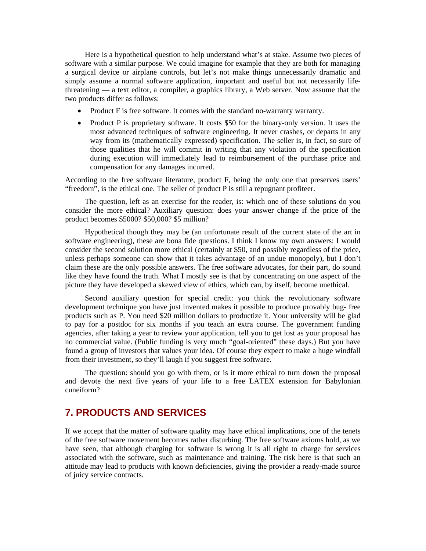Here is a hypothetical question to help understand what's at stake. Assume two pieces of software with a similar purpose. We could imagine for example that they are both for managing a surgical device or airplane controls, but let's not make things unnecessarily dramatic and simply assume a normal software application, important and useful but not necessarily lifethreatening — a text editor, a compiler, a graphics library, a Web server. Now assume that the two products differ as follows:

- Product F is free software. It comes with the standard no-warranty warranty.
- Product P is proprietary software. It costs \$50 for the binary-only version. It uses the most advanced techniques of software engineering. It never crashes, or departs in any way from its (mathematically expressed) specification. The seller is, in fact, so sure of those qualities that he will commit in writing that any violation of the specification during execution will immediately lead to reimbursement of the purchase price and compensation for any damages incurred.

According to the free software literature, product F, being the only one that preserves users' "freedom", is the ethical one. The seller of product P is still a repugnant profiteer.

The question, left as an exercise for the reader, is: which one of these solutions do you consider the more ethical? Auxiliary question: does your answer change if the price of the product becomes \$5000? \$50,000? \$5 million?

Hypothetical though they may be (an unfortunate result of the current state of the art in software engineering), these are bona fide questions. I think I know my own answers: I would consider the second solution more ethical (certainly at \$50, and possibly regardless of the price, unless perhaps someone can show that it takes advantage of an undue monopoly), but I don't claim these are the only possible answers. The free software advocates, for their part, do sound like they have found the truth. What I mostly see is that by concentrating on one aspect of the picture they have developed a skewed view of ethics, which can, by itself, become unethical.

Second auxiliary question for special credit: you think the revolutionary software development technique you have just invented makes it possible to produce provably bug- free products such as P. You need \$20 million dollars to productize it. Your university will be glad to pay for a postdoc for six months if you teach an extra course. The government funding agencies, after taking a year to review your application, tell you to get lost as your proposal has no commercial value. (Public funding is very much "goal-oriented" these days.) But you have found a group of investors that values your idea. Of course they expect to make a huge windfall from their investment, so they'll laugh if you suggest free software.

The question: should you go with them, or is it more ethical to turn down the proposal and devote the next five years of your life to a free LATEX extension for Babylonian cuneiform?

#### **7. PRODUCTS AND SERVICES**

If we accept that the matter of software quality may have ethical implications, one of the tenets of the free software movement becomes rather disturbing. The free software axioms hold, as we have seen, that although charging for software is wrong it is all right to charge for services associated with the software, such as maintenance and training. The risk here is that such an attitude may lead to products with known deficiencies, giving the provider a ready-made source of juicy service contracts.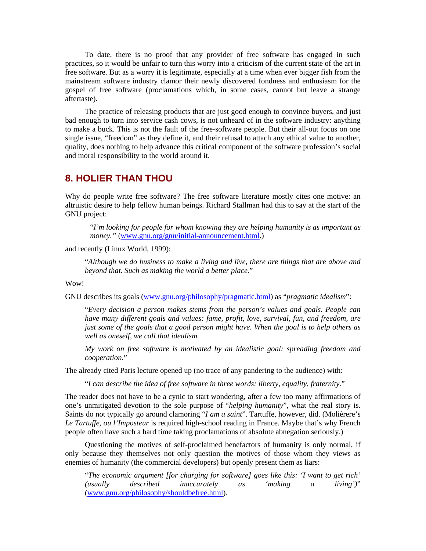To date, there is no proof that any provider of free software has engaged in such practices, so it would be unfair to turn this worry into a criticism of the current state of the art in free software. But as a worry it is legitimate, especially at a time when ever bigger fish from the mainstream software industry clamor their newly discovered fondness and enthusiasm for the gospel of free software (proclamations which, in some cases, cannot but leave a strange aftertaste).

The practice of releasing products that are just good enough to convince buyers, and just bad enough to turn into service cash cows, is not unheard of in the software industry: anything to make a buck. This is not the fault of the free-software people. But their all-out focus on one single issue, "freedom" as they define it, and their refusal to attach any ethical value to another, quality, does nothing to help advance this critical component of the software profession's social and moral responsibility to the world around it.

#### **8. HOLIER THAN THOU**

Why do people write free software? The free software literature mostly cites one motive: an altruistic desire to help fellow human beings. Richard Stallman had this to say at the start of the GNU project:

"*I'm looking for people for whom knowing they are helping humanity is as important as money."* (www.gnu.org/gnu/initial-announcement.html.)

#### and recently (Linux World, 1999):

"*Although we do business to make a living and live, there are things that are above and beyond that. Such as making the world a better place.*"

#### Wow!

GNU describes its goals (www.gnu.org/philosophy/pragmatic.html) as "*pragmatic idealism*":

"*Every decision a person makes stems from the person's values and goals. People can have many different goals and values: fame, profit, love, survival, fun, and freedom, are just some of the goals that a good person might have. When the goal is to help others as well as oneself, we call that idealism.* 

*My work on free software is motivated by an idealistic goal: spreading freedom and cooperation.*"

The already cited Paris lecture opened up (no trace of any pandering to the audience) with:

"*I can describe the idea of free software in three words: liberty, equality, fraternity.*"

The reader does not have to be a cynic to start wondering, after a few too many affirmations of one's unmitigated devotion to the sole purpose of "*helping humanity*", what the real story is. Saints do not typically go around clamoring "*I am a saint*". Tartuffe, however, did. (Molièrere's *Le Tartuffe, ou l'Imposteur* is required high-school reading in France. Maybe that's why French people often have such a hard time taking proclamations of absolute abnegation seriously.)

Questioning the motives of self-proclaimed benefactors of humanity is only normal, if only because they themselves not only question the motives of those whom they views as enemies of humanity (the commercial developers) but openly present them as liars:

"*The economic argument [for charging for software] goes like this: 'I want to get rich' (usually described inaccurately as 'making a living')*" (www.gnu.org/philosophy/shouldbefree.html).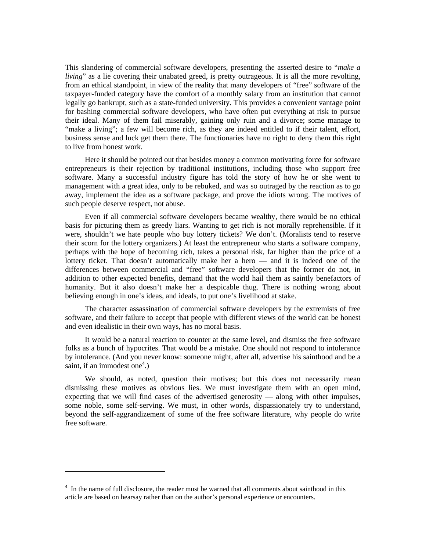This slandering of commercial software developers, presenting the asserted desire to "*make a living*" as a lie covering their unabated greed, is pretty outrageous. It is all the more revolting, from an ethical standpoint, in view of the reality that many developers of "free" software of the taxpayer-funded category have the comfort of a monthly salary from an institution that cannot legally go bankrupt, such as a state-funded university. This provides a convenient vantage point for bashing commercial software developers, who have often put everything at risk to pursue their ideal. Many of them fail miserably, gaining only ruin and a divorce; some manage to "make a living"; a few will become rich, as they are indeed entitled to if their talent, effort, business sense and luck get them there. The functionaries have no right to deny them this right to live from honest work.

Here it should be pointed out that besides money a common motivating force for software entrepreneurs is their rejection by traditional institutions, including those who support free software. Many a successful industry figure has told the story of how he or she went to management with a great idea, only to be rebuked, and was so outraged by the reaction as to go away, implement the idea as a software package, and prove the idiots wrong. The motives of such people deserve respect, not abuse.

Even if all commercial software developers became wealthy, there would be no ethical basis for picturing them as greedy liars. Wanting to get rich is not morally reprehensible. If it were, shouldn't we hate people who buy lottery tickets? We don't. (Moralists tend to reserve their scorn for the lottery organizers.) At least the entrepreneur who starts a software company, perhaps with the hope of becoming rich, takes a personal risk, far higher than the price of a lottery ticket. That doesn't automatically make her a hero — and it is indeed one of the differences between commercial and "free" software developers that the former do not, in addition to other expected benefits, demand that the world hail them as saintly benefactors of humanity. But it also doesn't make her a despicable thug. There is nothing wrong about believing enough in one's ideas, and ideals, to put one's livelihood at stake.

The character assassination of commercial software developers by the extremists of free software, and their failure to accept that people with different views of the world can be honest and even idealistic in their own ways, has no moral basis.

It would be a natural reaction to counter at the same level, and dismiss the free software folks as a bunch of hypocrites. That would be a mistake. One should not respond to intolerance by intolerance. (And you never know: someone might, after all, advertise his sainthood and be a saint, if an immodest one<sup>4</sup>.)

We should, as noted, question their motives; but this does not necessarily mean dismissing these motives as obvious lies. We must investigate them with an open mind, expecting that we will find cases of the advertised generosity — along with other impulses, some noble, some self-serving. We must, in other words, dispassionately try to understand, beyond the self-aggrandizement of some of the free software literature, why people do write free software.

 $\overline{a}$ 

<sup>&</sup>lt;sup>4</sup> In the name of full disclosure, the reader must be warned that all comments about sainthood in this article are based on hearsay rather than on the author's personal experience or encounters.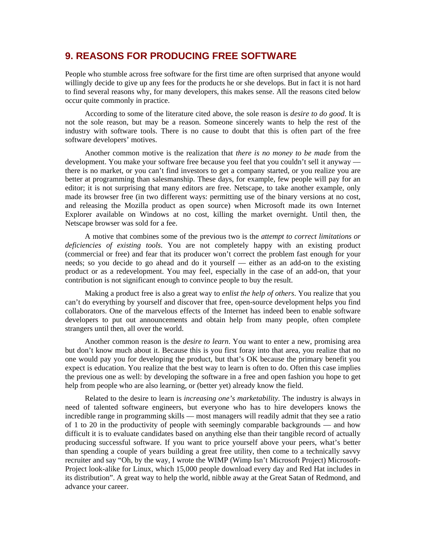#### **9. REASONS FOR PRODUCING FREE SOFTWARE**

People who stumble across free software for the first time are often surprised that anyone would willingly decide to give up any fees for the products he or she develops. But in fact it is not hard to find several reasons why, for many developers, this makes sense. All the reasons cited below occur quite commonly in practice.

According to some of the literature cited above, the sole reason is *desire to do good*. It is not the sole reason, but may be a reason. Someone sincerely wants to help the rest of the industry with software tools. There is no cause to doubt that this is often part of the free software developers' motives.

Another common motive is the realization that *there is no money to be made* from the development. You make your software free because you feel that you couldn't sell it anyway there is no market, or you can't find investors to get a company started, or you realize you are better at programming than salesmanship. These days, for example, few people will pay for an editor; it is not surprising that many editors are free. Netscape, to take another example, only made its browser free (in two different ways: permitting use of the binary versions at no cost, and releasing the Mozilla product as open source) when Microsoft made its own Internet Explorer available on Windows at no cost, killing the market overnight. Until then, the Netscape browser was sold for a fee.

A motive that combines some of the previous two is the *attempt to correct limitations or deficiencies of existing tools*. You are not completely happy with an existing product (commercial or free) and fear that its producer won't correct the problem fast enough for your needs; so you decide to go ahead and do it yourself — either as an add-on to the existing product or as a redevelopment. You may feel, especially in the case of an add-on, that your contribution is not significant enough to convince people to buy the result.

Making a product free is also a great way to *enlist the help of others*. You realize that you can't do everything by yourself and discover that free, open-source development helps you find collaborators. One of the marvelous effects of the Internet has indeed been to enable software developers to put out announcements and obtain help from many people, often complete strangers until then, all over the world.

Another common reason is the *desire to learn*. You want to enter a new, promising area but don't know much about it. Because this is you first foray into that area, you realize that no one would pay you for developing the product, but that's OK because the primary benefit you expect is education. You realize that the best way to learn is often to do. Often this case implies the previous one as well: by developing the software in a free and open fashion you hope to get help from people who are also learning, or (better yet) already know the field.

Related to the desire to learn is *increasing one's marketability*. The industry is always in need of talented software engineers, but everyone who has to hire developers knows the incredible range in programming skills — most managers will readily admit that they see a ratio of 1 to 20 in the productivity of people with seemingly comparable backgrounds — and how difficult it is to evaluate candidates based on anything else than their tangible record of actually producing successful software. If you want to price yourself above your peers, what's better than spending a couple of years building a great free utility, then come to a technically savvy recruiter and say "Oh, by the way, I wrote the WIMP (Wimp Isn't Microsoft Project) Microsoft-Project look-alike for Linux, which 15,000 people download every day and Red Hat includes in its distribution". A great way to help the world, nibble away at the Great Satan of Redmond, and advance your career.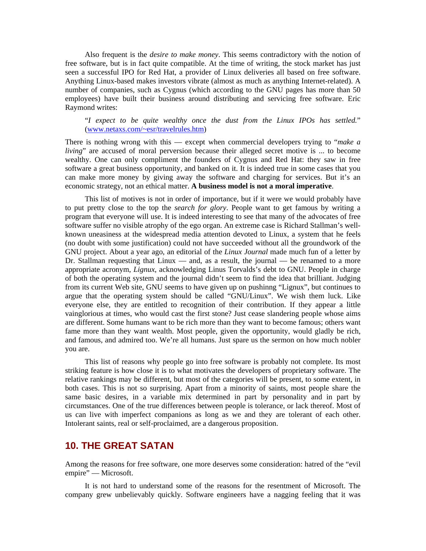Also frequent is the *desire to make money*. This seems contradictory with the notion of free software, but is in fact quite compatible. At the time of writing, the stock market has just seen a successful IPO for Red Hat, a provider of Linux deliveries all based on free software. Anything Linux-based makes investors vibrate (almost as much as anything Internet-related). A number of companies, such as Cygnus (which according to the GNU pages has more than 50 employees) have built their business around distributing and servicing free software. Eric Raymond writes:

"*I expect to be quite wealthy once the dust from the Linux IPOs has settled.*" (www.netaxs.com/~esr/travelrules.htm)

There is nothing wrong with this — except when commercial developers trying to "*make a living*" are accused of moral perversion because their alleged secret motive is ... to become wealthy. One can only compliment the founders of Cygnus and Red Hat: they saw in free software a great business opportunity, and banked on it. It is indeed true in some cases that you can make more money by giving away the software and charging for services. But it's an economic strategy, not an ethical matter. **A business model is not a moral imperative**.

This list of motives is not in order of importance, but if it were we would probably have to put pretty close to the top the *search for glory*. People want to get famous by writing a program that everyone will use. It is indeed interesting to see that many of the advocates of free software suffer no visible atrophy of the ego organ. An extreme case is Richard Stallman's wellknown uneasiness at the widespread media attention devoted to Linux, a system that he feels (no doubt with some justification) could not have succeeded without all the groundwork of the GNU project. About a year ago, an editorial of the *Linux Journal* made much fun of a letter by Dr. Stallman requesting that  $Linux$  — and, as a result, the journal — be renamed to a more appropriate acronym, *Lignux*, acknowledging Linus Torvalds's debt to GNU. People in charge of both the operating system and the journal didn't seem to find the idea that brilliant. Judging from its current Web site, GNU seems to have given up on pushinng "Lignux", but continues to argue that the operating system should be called "GNU/Linux". We wish them luck. Like everyone else, they are entitled to recognition of their contribution. If they appear a little vainglorious at times, who would cast the first stone? Just cease slandering people whose aims are different. Some humans want to be rich more than they want to become famous; others want fame more than they want wealth. Most people, given the opportunity, would gladly be rich, and famous, and admired too. We're all humans. Just spare us the sermon on how much nobler you are.

This list of reasons why people go into free software is probably not complete. Its most striking feature is how close it is to what motivates the developers of proprietary software. The relative rankings may be different, but most of the categories will be present, to some extent, in both cases. This is not so surprising. Apart from a minority of saints, most people share the same basic desires, in a variable mix determined in part by personality and in part by circumstances. One of the true differences between people is tolerance, or lack thereof. Most of us can live with imperfect companions as long as we and they are tolerant of each other. Intolerant saints, real or self-proclaimed, are a dangerous proposition.

#### **10. THE GREAT SATAN**

Among the reasons for free software, one more deserves some consideration: hatred of the "evil empire" — Microsoft.

It is not hard to understand some of the reasons for the resentment of Microsoft. The company grew unbelievably quickly. Software engineers have a nagging feeling that it was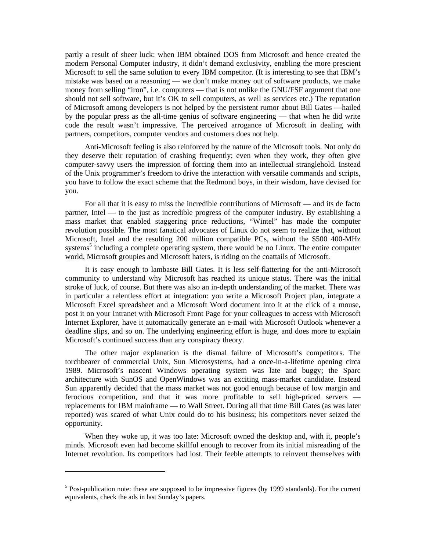partly a result of sheer luck: when IBM obtained DOS from Microsoft and hence created the modern Personal Computer industry, it didn't demand exclusivity, enabling the more prescient Microsoft to sell the same solution to every IBM competitor. (It is interesting to see that IBM's mistake was based on a reasoning — we don't make money out of software products, we make money from selling "iron", i.e. computers — that is not unlike the GNU/FSF argument that one should not sell software, but it's OK to sell computers, as well as services etc.) The reputation of Microsoft among developers is not helped by the persistent rumor about Bill Gates —hailed by the popular press as the all-time genius of software engineering — that when he did write code the result wasn't impressive. The perceived arrogance of Microsoft in dealing with partners, competitors, computer vendors and customers does not help.

Anti-Microsoft feeling is also reinforced by the nature of the Microsoft tools. Not only do they deserve their reputation of crashing frequently; even when they work, they often give computer-savvy users the impression of forcing them into an intellectual stranglehold. Instead of the Unix programmer's freedom to drive the interaction with versatile commands and scripts, you have to follow the exact scheme that the Redmond boys, in their wisdom, have devised for you.

For all that it is easy to miss the incredible contributions of Microsoft — and its de facto partner, Intel — to the just as incredible progress of the computer industry. By establishing a mass market that enabled staggering price reductions, "Wintel" has made the computer revolution possible. The most fanatical advocates of Linux do not seem to realize that, without Microsoft, Intel and the resulting 200 million compatible PCs, without the \$500 400-MHz systems<sup>5</sup> including a complete operating system, there would be no Linux. The entire computer world, Microsoft groupies and Microsoft haters, is riding on the coattails of Microsoft.

It is easy enough to lambaste Bill Gates. It is less self-flattering for the anti-Microsoft community to understand why Microsoft has reached its unique status. There was the initial stroke of luck, of course. But there was also an in-depth understanding of the market. There was in particular a relentless effort at integration: you write a Microsoft Project plan, integrate a Microsoft Excel spreadsheet and a Microsoft Word document into it at the click of a mouse, post it on your Intranet with Microsoft Front Page for your colleagues to access with Microsoft Internet Explorer, have it automatically generate an e-mail with Microsoft Outlook whenever a deadline slips, and so on. The underlying engineering effort is huge, and does more to explain Microsoft's continued success than any conspiracy theory.

The other major explanation is the dismal failure of Microsoft's competitors. The torchbearer of commercial Unix, Sun Microsystems, had a once-in-a-lifetime opening circa 1989. Microsoft's nascent Windows operating system was late and buggy; the Sparc architecture with SunOS and OpenWindows was an exciting mass-market candidate. Instead Sun apparently decided that the mass market was not good enough because of low margin and ferocious competition, and that it was more profitable to sell high-priced servers replacements for IBM mainframe — to Wall Street. During all that time Bill Gates (as was later reported) was scared of what Unix could do to his business; his competitors never seized the opportunity.

When they woke up, it was too late: Microsoft owned the desktop and, with it, people's minds. Microsoft even had become skillful enough to recover from its initial misreading of the Internet revolution. Its competitors had lost. Their feeble attempts to reinvent themselves with

 $\overline{a}$ 

 $<sup>5</sup>$  Post-publication note: these are supposed to be impressive figures (by 1999 standards). For the current</sup> equivalents, check the ads in last Sunday's papers.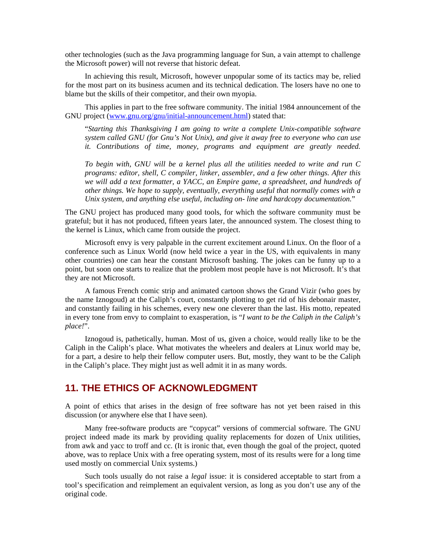other technologies (such as the Java programming language for Sun, a vain attempt to challenge the Microsoft power) will not reverse that historic defeat.

In achieving this result, Microsoft, however unpopular some of its tactics may be, relied for the most part on its business acumen and its technical dedication. The losers have no one to blame but the skills of their competitor, and their own myopia.

This applies in part to the free software community. The initial 1984 announcement of the GNU project (www.gnu.org/gnu/initial-announcement.html) stated that:

"*Starting this Thanksgiving I am going to write a complete Unix-compatible software system called GNU (for Gnu's Not Unix), and give it away free to everyone who can use it. Contributions of time, money, programs and equipment are greatly needed.* 

*To begin with, GNU will be a kernel plus all the utilities needed to write and run C programs: editor, shell, C compiler, linker, assembler, and a few other things. After this we will add a text formatter, a YACC, an Empire game, a spreadsheet, and hundreds of other things. We hope to supply, eventually, everything useful that normally comes with a Unix system, and anything else useful, including on- line and hardcopy documentation.*"

The GNU project has produced many good tools, for which the software community must be grateful; but it has not produced, fifteen years later, the announced system. The closest thing to the kernel is Linux, which came from outside the project.

Microsoft envy is very palpable in the current excitement around Linux. On the floor of a conference such as Linux World (now held twice a year in the US, with equivalents in many other countries) one can hear the constant Microsoft bashing. The jokes can be funny up to a point, but soon one starts to realize that the problem most people have is not Microsoft. It's that they are not Microsoft.

A famous French comic strip and animated cartoon shows the Grand Vizir (who goes by the name Iznogoud) at the Caliph's court, constantly plotting to get rid of his debonair master, and constantly failing in his schemes, every new one cleverer than the last. His motto, repeated in every tone from envy to complaint to exasperation, is "*I want to be the Caliph in the Caliph's place!*".

Iznogoud is, pathetically, human. Most of us, given a choice, would really like to be the Caliph in the Caliph's place. What motivates the wheelers and dealers at Linux world may be, for a part, a desire to help their fellow computer users. But, mostly, they want to be the Caliph in the Caliph's place. They might just as well admit it in as many words.

### **11. THE ETHICS OF ACKNOWLEDGMENT**

A point of ethics that arises in the design of free software has not yet been raised in this discussion (or anywhere else that I have seen).

Many free-software products are "copycat" versions of commercial software. The GNU project indeed made its mark by providing quality replacements for dozen of Unix utilities, from awk and yacc to troff and cc. (It is ironic that, even though the goal of the project, quoted above, was to replace Unix with a free operating system, most of its results were for a long time used mostly on commercial Unix systems.)

Such tools usually do not raise a *legal* issue: it is considered acceptable to start from a tool's specification and reimplement an equivalent version, as long as you don't use any of the original code.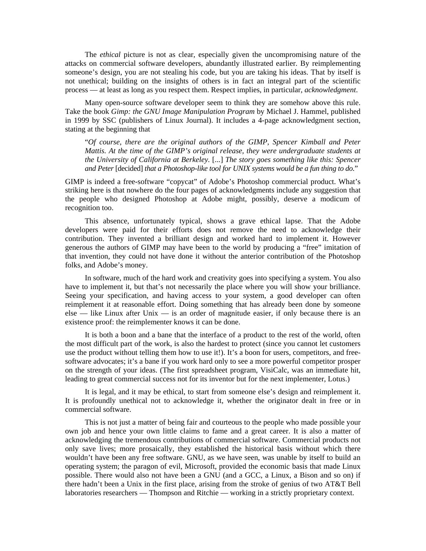The *ethical* picture is not as clear, especially given the uncompromising nature of the attacks on commercial software developers, abundantly illustrated earlier. By reimplementing someone's design, you are not stealing his code, but you are taking his ideas. That by itself is not unethical; building on the insights of others is in fact an integral part of the scientific process — at least as long as you respect them. Respect implies, in particular, *acknowledgment*.

Many open-source software developer seem to think they are somehow above this rule. Take the book *Gimp: the GNU Image Manipulation Program* by Michael J. Hammel, published in 1999 by SSC (publishers of Linux Journal). It includes a 4-page acknowledgment section, stating at the beginning that

"*Of course, there are the original authors of the GIMP, Spencer Kimball and Peter Mattis. At the time of the GIMP's original release, they were undergraduate students at the University of California at Berkeley.* [...] *The story goes something like this: Spencer and Peter* [decided] *that a Photoshop-like tool for UNIX systems would be a fun thing to do.*"

GIMP is indeed a free-software "copycat" of Adobe's Photoshop commercial product. What's striking here is that nowhere do the four pages of acknowledgments include any suggestion that the people who designed Photoshop at Adobe might, possibly, deserve a modicum of recognition too.

This absence, unfortunately typical, shows a grave ethical lapse. That the Adobe developers were paid for their efforts does not remove the need to acknowledge their contribution. They invented a brilliant design and worked hard to implement it. However generous the authors of GIMP may have been to the world by producing a "free" imitation of that invention, they could not have done it without the anterior contribution of the Photoshop folks, and Adobe's money.

In software, much of the hard work and creativity goes into specifying a system. You also have to implement it, but that's not necessarily the place where you will show your brilliance. Seeing your specification, and having access to your system, a good developer can often reimplement it at reasonable effort. Doing something that has already been done by someone else — like Linux after Unix — is an order of magnitude easier, if only because there is an existence proof: the reimplementer knows it can be done.

It is both a boon and a bane that the interface of a product to the rest of the world, often the most difficult part of the work, is also the hardest to protect (since you cannot let customers use the product without telling them how to use it!). It's a boon for users, competitors, and freesoftware advocates; it's a bane if you work hard only to see a more powerful competitor prosper on the strength of your ideas. (The first spreadsheet program, VisiCalc, was an immediate hit, leading to great commercial success not for its inventor but for the next implementer, Lotus.)

It is legal, and it may be ethical, to start from someone else's design and reimplement it. It is profoundly unethical not to acknowledge it, whether the originator dealt in free or in commercial software.

This is not just a matter of being fair and courteous to the people who made possible your own job and hence your own little claims to fame and a great career. It is also a matter of acknowledging the tremendous contributions of commercial software. Commercial products not only save lives; more prosaically, they established the historical basis without which there wouldn't have been any free software. GNU, as we have seen, was unable by itself to build an operating system; the paragon of evil, Microsoft, provided the economic basis that made Linux possible. There would also not have been a GNU (and a GCC, a Linux, a Bison and so on) if there hadn't been a Unix in the first place, arising from the stroke of genius of two AT&T Bell laboratories researchers — Thompson and Ritchie — working in a strictly proprietary context.